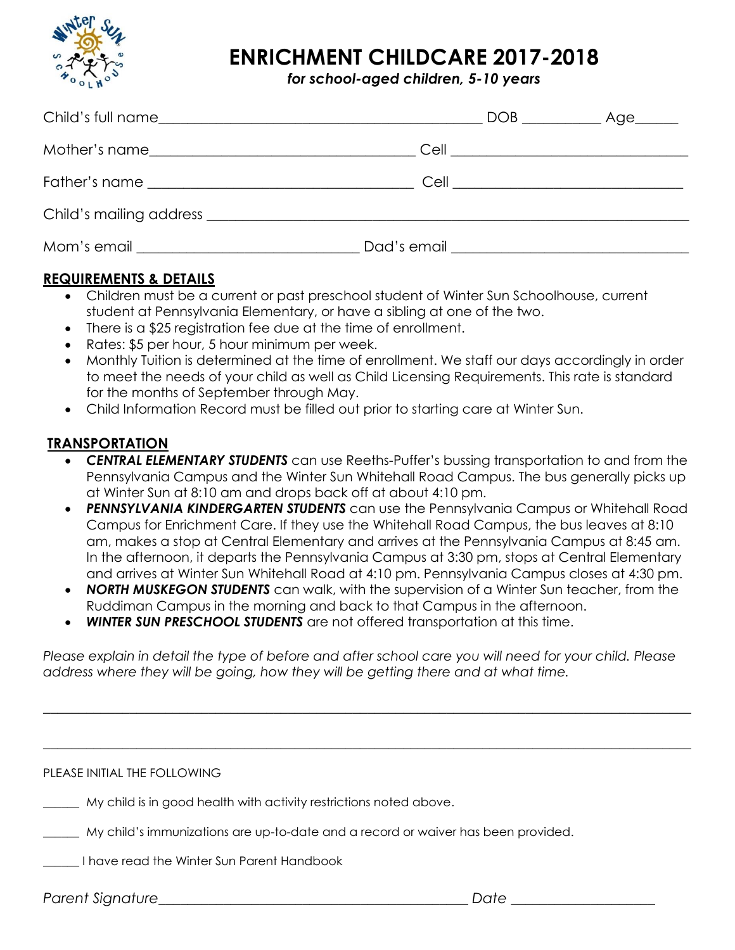

# **ENRICHMENT CHILDCARE 2017-2018**

*for school-aged children, 5-10 years*

|  | DOB ______________ Age_______ |  |
|--|-------------------------------|--|
|  |                               |  |
|  |                               |  |
|  |                               |  |
|  |                               |  |

### **REQUIREMENTS & DETAILS**

- Children must be a current or past preschool student of Winter Sun Schoolhouse, current student at Pennsylvania Elementary, or have a sibling at one of the two.
- There is a \$25 registration fee due at the time of enrollment.
- Rates: \$5 per hour, 5 hour minimum per week.
- Monthly Tuition is determined at the time of enrollment. We staff our days accordingly in order to meet the needs of your child as well as Child Licensing Requirements. This rate is standard for the months of September through May.
- Child Information Record must be filled out prior to starting care at Winter Sun.

#### **TRANSPORTATION**

- **CENTRAL ELEMENTARY STUDENTS** can use Reeths-Puffer's bussing transportation to and from the Pennsylvania Campus and the Winter Sun Whitehall Road Campus. The bus generally picks up at Winter Sun at 8:10 am and drops back off at about 4:10 pm.
- **PENNSYLVANIA KINDERGARTEN STUDENTS** can use the Pennsylvania Campus or Whitehall Road Campus for Enrichment Care. If they use the Whitehall Road Campus, the bus leaves at 8:10 am, makes a stop at Central Elementary and arrives at the Pennsylvania Campus at 8:45 am. In the afternoon, it departs the Pennsylvania Campus at 3:30 pm, stops at Central Elementary and arrives at Winter Sun Whitehall Road at 4:10 pm. Pennsylvania Campus closes at 4:30 pm.
- *NORTH MUSKEGON STUDENTS* can walk, with the supervision of a Winter Sun teacher, from the Ruddiman Campus in the morning and back to that Campus in the afternoon.
- *WINTER SUN PRESCHOOL STUDENTS* are not offered transportation at this time.

*Please explain in detail the type of before and after school care you will need for your child. Please address where they will be going, how they will be getting there and at what time.*

 $\_$  , and the set of the set of the set of the set of the set of the set of the set of the set of the set of the set of the set of the set of the set of the set of the set of the set of the set of the set of the set of th

 $\_$  , and the set of the set of the set of the set of the set of the set of the set of the set of the set of the set of the set of the set of the set of the set of the set of the set of the set of the set of the set of th

PLEASE INITIAL THE FOLLOWING

\_\_\_\_\_\_ My child is in good health with activity restrictions noted above.

\_\_\_\_\_\_ My child's immunizations are up-to-date and a record or waiver has been provided.

\_\_\_\_\_\_ I have read the Winter Sun Parent Handbook

*Parent Signature\_\_\_\_\_\_\_\_\_\_\_\_\_\_\_\_\_\_\_\_\_\_\_\_\_\_\_\_\_\_\_\_\_\_\_\_\_\_\_\_\_\_\_ Date \_\_\_\_\_\_\_\_\_\_\_\_\_\_\_\_\_\_\_\_*